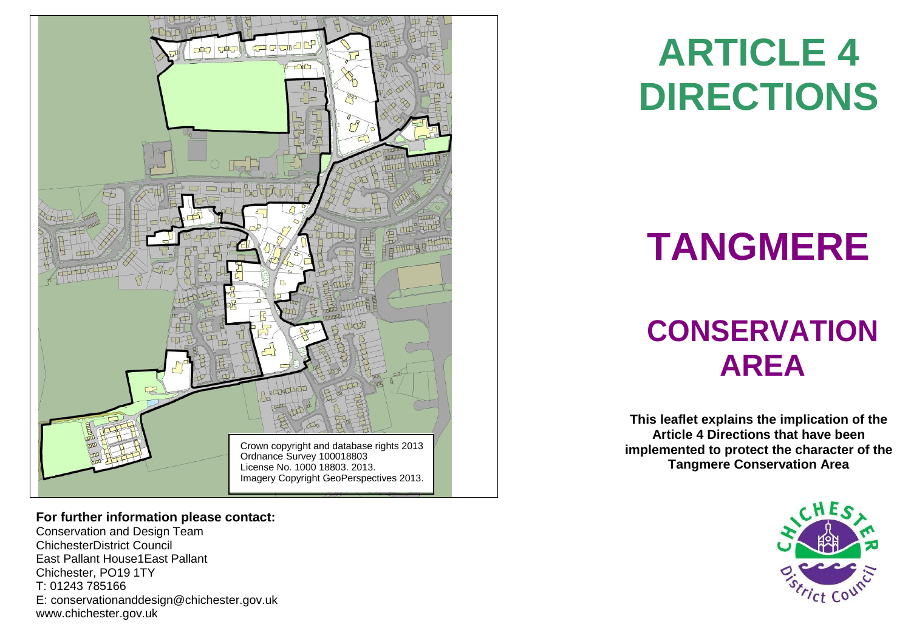

#### **For further information please contact:**

Conservation and Design Team ChichesterDistrict Council East Pallant House1East Pallant Chichester, PO19 1TY T: 01243 785166 E: [conservationanddesign@chichester.gov.uk](mailto:conservationanddesign@chichester.gov.uk) [www.chichester.gov.uk](http://www.chichester.gov.uk/)

## **ARTICLE 4 DIRECTIONS**

# **TANGMERE**

### **CONSERVATION AREA**

**This leaflet explains the implication of the Article 4 Directions that have been implemented to protect the character of the Tangmere Conservation Area**